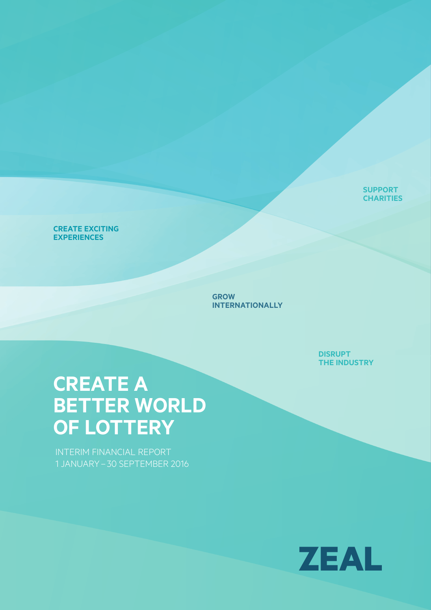**SuPPort CHARITIES** 

### **CREATE EXCITING ExPErIENcES**

**grow INtErNAtIoNALLy**

> **DISruPt thE INDuStry**

# **CREATE A BEttEr worLD of LottEry**

INTERIM FINANCIAL REPORT 1 JANUARY – 30 SEPTEMBER 2016

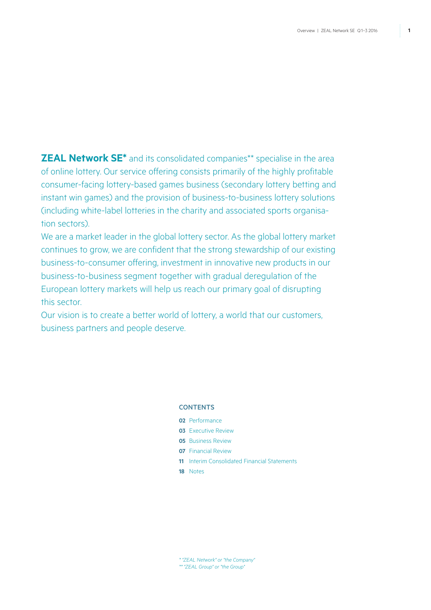**ZEAL Network SE\*** and its consolidated companies\*\* specialise in the area of online lottery. Our service offering consists primarily of the highly profitable consumer-facing lottery-based games business (secondary lottery betting and instant win games) and the provision of business-to-business lottery solutions (including white-label lotteries in the charity and associated sports organisation sectors).

We are a market leader in the global lottery sector. As the global lottery market continues to grow, we are confident that the strong stewardship of our existing business-to-consumer offering, investment in innovative new products in our business-to-business segment together with gradual deregulation of the European lottery markets will help us reach our primary goal of disrupting this sector.

Our vision is to create a better world of lottery, a world that our customers, business partners and people deserve.

### **CONTENTS**

- **02** Performance
- **03** Executive Review
- **05** Business Review
- **07** Financial Review
- **11** Interim Consolidated Financial Statements
- **18** Notes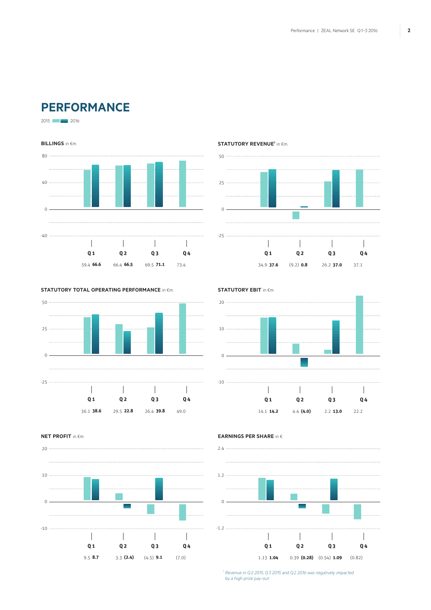# **Performance**

2015 2016





### **STATUTORY REVENUE<sup>1</sup> in €m**



#### **Statutory Total operating performance** in �m



**STATUTORY EBIT** in  $\epsilon$ m



**NET PROFIT** in €m



**Earnings per share** in �



*<sup>1</sup> Revenue in Q2 2015, Q3 2015 and Q2 2016 was negatively impacted by a high prize pay-out.*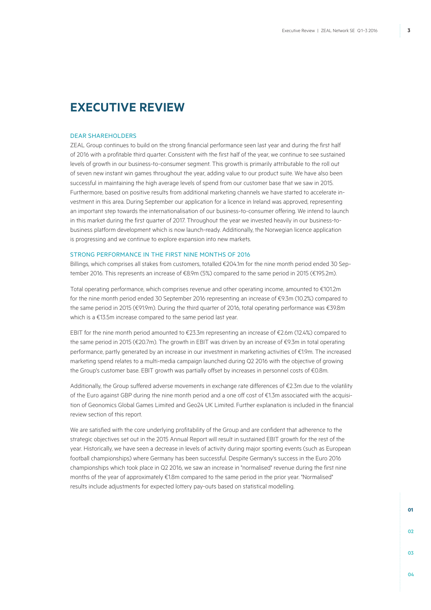## **Executive Review**

#### Dear Shareholders

ZEAL Group continues to build on the strong financial performance seen last year and during the first half of 2016 with a profitable third quarter. Consistent with the first half of the year, we continue to see sustained levels of growth in our business-to-consumer segment. This growth is primarily attributable to the roll out of seven new instant win games throughout the year, adding value to our product suite. We have also been successful in maintaining the high average levels of spend from our customer base that we saw in 2015. Furthermore, based on positive results from additional marketing channels we have started to accelerate investment in this area. During September our application for a licence in Ireland was approved, representing an important step towards the internationalisation of our business-to-consumer offering. We intend to launch in this market during the first quarter of 2017. Throughout the year we invested heavily in our business-tobusiness platform development which is now launch-ready. Additionally, the Norwegian licence application is progressing and we continue to explore expansion into new markets.

#### STRONG PERFORMANCE IN THE FIRST NINE MONTHS OF 2016

Billings, which comprises all stakes from customers, totalled €204.1m for the nine month period ended 30 September 2016. This represents an increase of €8.9m (5%) compared to the same period in 2015 (€195.2m).

Total operating performance, which comprises revenue and other operating income, amounted to €101.2m for the nine month period ended 30 September 2016 representing an increase of €9.3m (10.2%) compared to the same period in 2015 (€91.9m). During the third quarter of 2016, total operating performance was €39.8m which is a €13.5m increase compared to the same period last year.

EBIT for the nine month period amounted to €23.3m representing an increase of €2.6m (12.4%) compared to the same period in 2015 (€20.7m). The growth in EBIT was driven by an increase of €9.3m in total operating performance, partly generated by an increase in our investment in marketing activities of €1.9m. The increased marketing spend relates to a multi-media campaign launched during Q2 2016 with the objective of growing the Group's customer base. EBIT growth was partially offset by increases in personnel costs of €0.8m.

Additionally, the Group suffered adverse movements in exchange rate differences of €2.3m due to the volatility of the Euro against GBP during the nine month period and a one off cost of €1.3m associated with the acquisition of Geonomics Global Games Limited and Geo24 UK Limited. Further explanation is included in the financial review section of this report.

We are satisfied with the core underlying profitability of the Group and are confident that adherence to the strategic objectives set out in the 2015 Annual Report will result in sustained EBIT growth for the rest of the year. Historically, we have seen a decrease in levels of activity during major sporting events (such as European football championships) where Germany has been successful. Despite Germany's success in the Euro 2016 championships which took place in Q2 2016, we saw an increase in "normalised" revenue during the first nine months of the year of approximately €1.8m compared to the same period in the prior year. "Normalised" results include adjustments for expected lottery pay-outs based on statistical modelling.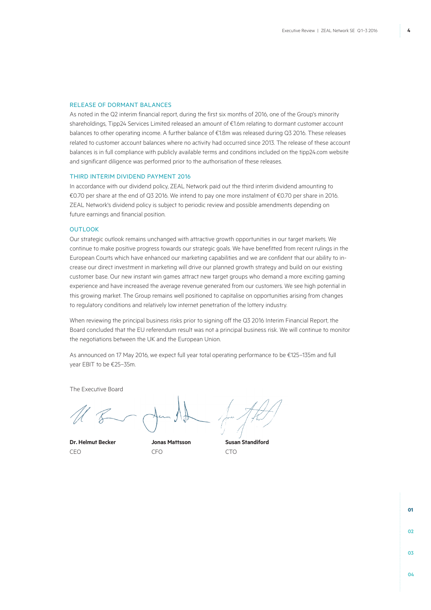### RELEASE OF DORMANT BALANCES

As noted in the Q2 interim financial report, during the first six months of 2016, one of the Group's minority shareholdings, Tipp24 Services Limited released an amount of €1.6m relating to dormant customer account balances to other operating income. A further balance of €1.8m was released during Q3 2016. These releases related to customer account balances where no activity had occurred since 2013. The release of these account balances is in full compliance with publicly available terms and conditions included on the tipp24.com website and significant diligence was performed prior to the authorisation of these releases.

#### THIRD INTERIM DIVIDEND PAYMENT 2016

In accordance with our dividend policy, ZEAL Network paid out the third interim dividend amounting to €0.70 per share at the end of Q3 2016. We intend to pay one more instalment of €0.70 per share in 2016. ZEAL Network's dividend policy is subject to periodic review and possible amendments depending on future earnings and financial position.

#### **OUTLOOK**

Our strategic outlook remains unchanged with attractive growth opportunities in our target markets. We continue to make positive progress towards our strategic goals. We have benefitted from recent rulings in the European Courts which have enhanced our marketing capabilities and we are confident that our ability to increase our direct investment in marketing will drive our planned growth strategy and build on our existing customer base. Our new instant win games attract new target groups who demand a more exciting gaming experience and have increased the average revenue generated from our customers. We see high potential in this growing market. The Group remains well positioned to capitalise on opportunities arising from changes to regulatory conditions and relatively low internet penetration of the lottery industry.

When reviewing the principal business risks prior to signing off the Q3 2016 Interim Financial Report, the Board concluded that the EU referendum result was not a principal business risk. We will continue to monitor the negotiations between the UK and the European Union.

As announced on 17 May 2016, we expect full year total operating performance to be €125–135m and full year EBIT to be €25–35m.

The Executive Board

**Dr. Helmut Becker Jonas Mattsson Susan Standiford** CEO CFO CTO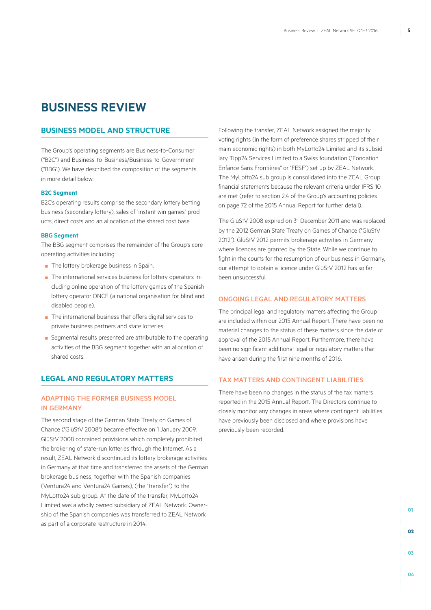# **Business Review**

### **Business Model and Structure**

The Group's operating segments are Business-to-Consumer ("B2C") and Business-to-Business/Business-to-Government ("BBG"). We have described the composition of the segments in more detail below:

#### **B2C Segment**

B2C's operating results comprise the secondary lottery betting business (secondary lottery), sales of "instant win games" products, direct costs and an allocation of the shared cost base.

#### **BBG Segment**

The BBG segment comprises the remainder of the Group's core operating activities including:

- The lottery brokerage business in Spain.
- The international services business for lottery operators including online operation of the lottery games of the Spanish lottery operator ONCE (a national organisation for blind and disabled people).
- The international business that offers digital services to private business partners and state lotteries.
- Segmental results presented are attributable to the operating activities of the BBG segment together with an allocation of shared costs.

### **LEGAL AND REGULATORY MATTERS**

### ADAPTING THE FORMER BUSINESS MODEL IN GERMANY

The second stage of the German State Treaty on Games of Chance ("GlüStV 2008") became effective on 1 January 2009. GlüStV 2008 contained provisions which completely prohibited the brokering of state-run lotteries through the Internet. As a result, ZEAL Network discontinued its lottery brokerage activities in Germany at that time and transferred the assets of the German brokerage business, together with the Spanish companies (Ventura24 and Ventura24 Games), (the "transfer") to the MyLotto24 sub group. At the date of the transfer, MyLotto24 Limited was a wholly owned subsidiary of ZEAL Network. Ownership of the Spanish companies was transferred to ZEAL Network as part of a corporate restructure in 2014.

Following the transfer, ZEAL Network assigned the majority voting rights (in the form of preference shares stripped of their main economic rights) in both MyLotto24 Limited and its subsidiary Tipp24 Services Limited to a Swiss foundation ("Fondation Enfance Sans Frontières" or "FESF") set up by ZEAL Network. The MyLotto24 sub group is consolidated into the ZEAL Group financial statements because the relevant criteria under IFRS 10 are met (refer to section 2.4 of the Group's accounting policies on page 72 of the 2015 Annual Report for further detail).

The GlüStV 2008 expired on 31 December 2011 and was replaced by the 2012 German State Treaty on Games of Chance ("GlüStV 2012"). GlüStV 2012 permits brokerage activities in Germany where licences are granted by the State. While we continue to fight in the courts for the resumption of our business in Germany, our attempt to obtain a licence under GlüStV 2012 has so far been unsuccessful.

### ONGOING LEGAL AND REGULATORY MATTERS

The principal legal and regulatory matters affecting the Group are included within our 2015 Annual Report. There have been no material changes to the status of these matters since the date of approval of the 2015 Annual Report. Furthermore, there have been no significant additional legal or regulatory matters that have arisen during the first nine months of 2016.

### TAX MATTERS AND CONTINGENT LIABILITIES

There have been no changes in the status of the tax matters reported in the 2015 Annual Report. The Directors continue to closely monitor any changes in areas where contingent liabilities have previously been disclosed and where provisions have previously been recorded.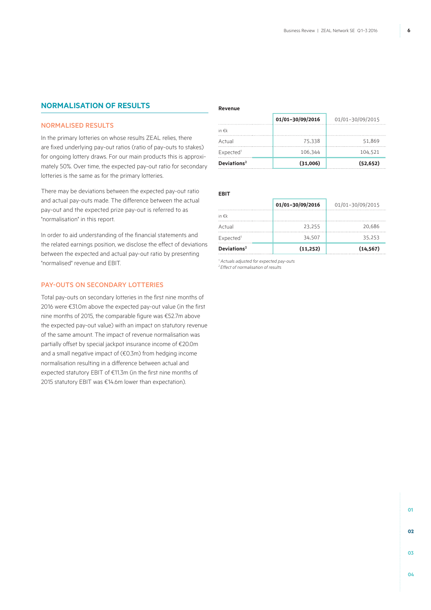### **NORMALISATION OF RESULTS**

### NORMALISED RESULTS

In the primary lotteries on whose results ZEAL relies, there are fixed underlying pay-out ratios (ratio of pay-outs to stakes) for ongoing lottery draws. For our main products this is approximately 50%. Over time, the expected pay-out ratio for secondary lotteries is the same as for the primary lotteries.

There may be deviations between the expected pay-out ratio and actual pay-outs made. The difference between the actual pay-out and the expected prize pay-out is referred to as "normalisation" in this report.

In order to aid understanding of the financial statements and the related earnings position, we disclose the effect of deviations between the expected and actual pay-out ratio by presenting "normalised" revenue and EBIT.

### PAY-OUTS ON SECONDARY LOTTERIES

Total pay-outs on secondary lotteries in the first nine months of 2016 were €31.0m above the expected pay-out value (in the first nine months of 2015, the comparable figure was €52.7m above the expected pay-out value) with an impact on statutory revenue of the same amount. The impact of revenue normalisation was partially offset by special jackpot insurance income of €20.0m and a small negative impact of (€0.3m) from hedging income normalisation resulting in a difference between actual and expected statutory EBIT of €11.3m (in the first nine months of 2015 statutory EBIT was €14.6m lower than expectation).

#### **Revenue**

|                         | 01/01-30/09/2016 | 01/01-30/09/2015 |
|-------------------------|------------------|------------------|
| in $\notin k$           |                  |                  |
| Actual                  | 75.338           | 51.869           |
| Expected <sup>1</sup>   | 106.344          | 104.521          |
| Deviations <sup>2</sup> | (31,006)         | (52, 652)        |

### **EBIT**

|                         | 01/01-30/09/2016 | 01/01-30/09/2015 |
|-------------------------|------------------|------------------|
| in $\notin k$           |                  |                  |
| Actual                  | 23.255           | 20.686           |
| Expected <sup>1</sup>   | 34.507           | 35.253           |
| Deviations <sup>2</sup> | (11,252)         | (14, 567)        |

*1 Actuals adjusted for expected pay-outs*

*2 Effect of normalisation of results*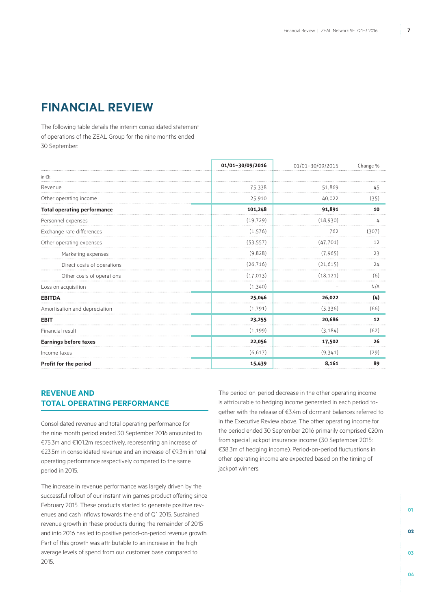# **Financial review**

The following table details the interim consolidated statement of operations of the ZEAL Group for the nine months ended 30 September:

|                                    | 01/01-30/09/2016 | 01/01-30/09/2015 | Change % |
|------------------------------------|------------------|------------------|----------|
| in $\epsilon$ k                    |                  |                  |          |
| Revenue                            | 75,338           | 51.869           | 45       |
| Other operating income             | 25,910           | 40,022           | (35)     |
| <b>Total operating performance</b> | 101,248          | 91,891           | 10       |
| Personnel expenses                 | (19, 729)        | (18,930)         | 4        |
| Exchange rate differences          | (1, 576)         | 762              | (307)    |
| Other operating expenses           | (53, 557)        | (47, 701)        | 12       |
| Marketing expenses                 | (9,828)          | (7, 965)         | 23       |
| Direct costs of operations         | (26, 716)        | (21, 615)        | 24       |
| Other costs of operations          | (17, 013)        | (18, 121)        | (6)      |
| Loss on acquisition                | (1, 340)         |                  | N/A      |
| <b>EBITDA</b>                      | 25,046           | 26,022           | (4)      |
| Amortisation and depreciation      | (1,791)          | (5,336)          | (66)     |
| <b>EBIT</b>                        | 23,255           | 20,686           | 12       |
| Financial result                   | (1, 199)         | (3, 184)         | (62)     |
| <b>Earnings before taxes</b>       | 22,056           | 17,502           | 26       |
| Income taxes                       | (6,617)          | (9,341)          | (29)     |
| Profit for the period              | 15,439           | 8,161            | 89       |

### **REVENUE AND TOTAL OPERATING PERFORMANCE**

Consolidated revenue and total operating performance for the nine month period ended 30 September 2016 amounted to €75.3m and €101.2m respectively, representing an increase of €23.5m in consolidated revenue and an increase of €9.3m in total operating performance respectively compared to the same period in 2015.

The increase in revenue performance was largely driven by the successful rollout of our instant win games product offering since February 2015. These products started to generate positive revenues and cash inflows towards the end of Q1 2015. Sustained revenue growth in these products during the remainder of 2015 and into 2016 has led to positive period-on-period revenue growth. Part of this growth was attributable to an increase in the high average levels of spend from our customer base compared to 2015.

The period-on-period decrease in the other operating income is attributable to hedging income generated in each period together with the release of €3.4m of dormant balances referred to in the Executive Review above. The other operating income for the period ended 30 September 2016 primarily comprised €20m from special jackpot insurance income (30 September 2015: €38.3m of hedging income). Period-on-period fluctuations in other operating income are expected based on the timing of jackpot winners.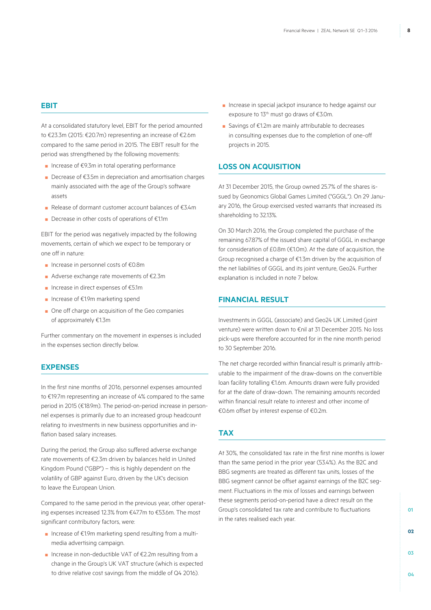#### **EBIT**

At a consolidated statutory level, EBIT for the period amounted to €23.3m (2015: €20.7m) representing an increase of €2.6m compared to the same period in 2015. The EBIT result for the period was strengthened by the following movements:

- Increase of €9.3m in total operating performance
- Decrease of €3.5m in depreciation and amortisation charges mainly associated with the age of the Group's software assets
- Release of dormant customer account balances of €3.4m
- Decrease in other costs of operations of €1.1m

EBIT for the period was negatively impacted by the following movements, certain of which we expect to be temporary or one off in nature:

- Increase in personnel costs of €0.8m
- Adverse exchange rate movements of €2.3m
- Increase in direct expenses of €5.1m
- Increase of €1.9m marketing spend
- One off charge on acquisition of the Geo companies of approximately €1.3m

Further commentary on the movement in expenses is included in the expenses section directly below.

### **Expenses**

In the first nine months of 2016, personnel expenses amounted to €19.7m representing an increase of 4% compared to the same period in 2015 (€18.9m). The period-on-period increase in personnel expenses is primarily due to an increased group headcount relating to investments in new business opportunities and inflation based salary increases.

During the period, the Group also suffered adverse exchange rate movements of €2.3m driven by balances held in United Kingdom Pound ("GBP") – this is highly dependent on the volatility of GBP against Euro, driven by the UK's decision to leave the European Union.

Compared to the same period in the previous year, other operating expenses increased 12.3% from €47.7m to €53.6m. The most significant contributory factors, were:

- Increase of €1.9m marketing spend resulting from a multimedia advertising campaign.
- Increase in non-deductible VAT of €2.2m resulting from a change in the Group's UK VAT structure (which is expected to drive relative cost savings from the middle of Q4 2016).
- Increase in special jackpot insurance to hedge against our exposure to 13<sup>th</sup> must go draws of €3.0m.
- Savings of €1.2m are mainly attributable to decreases in consulting expenses due to the completion of one-off projects in 2015.

### **LOSS ON ACQUISITION**

At 31 December 2015, the Group owned 25.7% of the shares issued by Geonomics Global Games Limited ("GGGL"). On 29 January 2016, the Group exercised vested warrants that increased its shareholding to 32.13%.

On 30 March 2016, the Group completed the purchase of the remaining 67.87% of the issued share capital of GGGL in exchange for consideration of £0.8m (€1.0m). At the date of acquisition, the Group recognised a charge of €1.3m driven by the acquisition of the net liabilities of GGGL and its joint venture, Geo24. Further explanation is included in note 7 below.

### **FINANCIAL RESULT**

Investments in GGGL (associate) and Geo24 UK Limited (joint venture) were written down to €nil at 31 December 2015. No loss pick-ups were therefore accounted for in the nine month period to 30 September 2016.

The net charge recorded within financial result is primarily attributable to the impairment of the draw-downs on the convertible loan facility totalling €1.6m. Amounts drawn were fully provided for at the date of draw-down. The remaining amounts recorded within financial result relate to interest and other income of €0.6m offset by interest expense of €0.2m.

### **Tax**

At 30%, the consolidated tax rate in the first nine months is lower than the same period in the prior year (53.4%). As the B2C and BBG segments are treated as different tax units, losses of the BBG segment cannot be offset against earnings of the B2C segment. Fluctuations in the mix of losses and earnings between these segments period-on-period have a direct result on the Group's consolidated tax rate and contribute to fluctuations in the rates realised each year.

**01**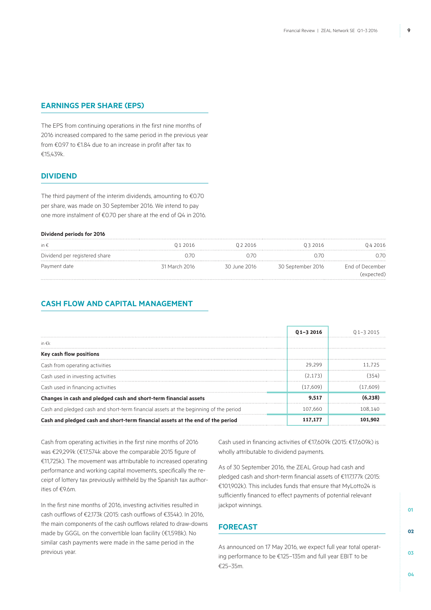### **EARNINGS PER SHARE (EPS)**

The EPS from continuing operations in the first nine months of 2016 increased compared to the same period in the previous year from €0.97 to €1.84 due to an increase in profit after tax to €15,439k.

### **DIVIDEND**

The third payment of the interim dividends, amounting to €0.70 per share, was made on 30 September 2016. We intend to pay one more instalment of €0.70 per share at the end of Q4 in 2016.

#### **Dividend periods for 2016**

| in $\epsilon$                 | 01 2016       | 022016       | 03 2016           | 042016          |
|-------------------------------|---------------|--------------|-------------------|-----------------|
| Dividend per registered share | 1/(           |              |                   |                 |
| Payment date                  | 31 March 2016 | 30 June 2016 | 30 September 2016 | End of December |
|                               |               |              |                   | (expected)      |

### **CASH FLOW AND CAPITAL MANAGEMENT**

|                                                                                      | $01 - 32016$ | () 1–3 2015 |
|--------------------------------------------------------------------------------------|--------------|-------------|
| in $\notin k$                                                                        |              |             |
| Key cash flow positions                                                              |              |             |
| Cash from operating activities                                                       | 29.299       | 11 725      |
| Cash used in investing activities                                                    | (2.173)      |             |
| Cash used in financing activities                                                    | (17.609)     | (17.609)    |
| Changes in cash and pledged cash and short-term financial assets                     | 9,517        |             |
| Cash and pledged cash and short-term financial assets at the beginning of the period | 107.660      | 108 140     |
| Cash and pledged cash and short-term financial assets at the end of the period       | 117.177      |             |

Cash from operating activities in the first nine months of 2016 was €29,299k (€17,574k above the comparable 2015 figure of €11,725k). The movement was attributable to increased operating performance and working capital movements, specifically the receipt of lottery tax previously withheld by the Spanish tax authorities of €9.6m.

In the first nine months of 2016, investing activities resulted in cash outflows of €2,173k (2015: cash outflows of €354k). In 2016, the main components of the cash outflows related to draw-downs made by GGGL on the convertible loan facility (€1,598k). No similar cash payments were made in the same period in the previous year.

Cash used in financing activities of €17,609k (2015: €17,609k) is wholly attributable to dividend payments.

As of 30 September 2016, the ZEAL Group had cash and pledged cash and short-term financial assets of €117,177k (2015: €101,902k). This includes funds that ensure that MyLotto24 is sufficiently financed to effect payments of potential relevant jackpot winnings.

### **Forecast**

As announced on 17 May 2016, we expect full year total operating performance to be €125–135m and full year EBIT to be €25–35m.

**01**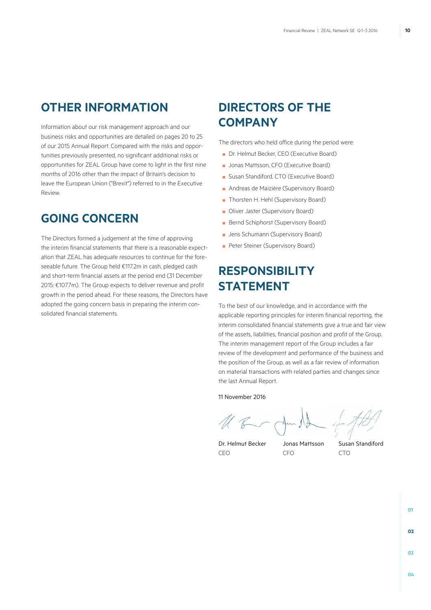# **Other Information**

Information about our risk management approach and our business risks and opportunities are detailed on pages 20 to 25 of our 2015 Annual Report. Compared with the risks and opportunities previously presented, no significant additional risks or opportunities for ZEAL Group have come to light in the first nine months of 2016 other than the impact of Britain's decision to leave the European Union ("Brexit") referred to in the Executive Review.

# **Going concern**

The Directors formed a judgement at the time of approving the interim financial statements that there is a reasonable expectation that ZEAL has adequate resources to continue for the foreseeable future. The Group held €117.2m in cash, pledged cash and short-term financial assets at the period end (31 December 2015: €107.7m). The Group expects to deliver revenue and profit growth in the period ahead. For these reasons, the Directors have adopted the going concern basis in preparing the interim consolidated financial statements.

# **Directors of the Company**

The directors who held office during the period were:

- Dr. Helmut Becker, CEO (Executive Board)
- Jonas Mattsson, CFO (Executive Board)
- Susan Standiford, CTO (Executive Board)
- Andreas de Maizière (Supervisory Board)
- Thorsten H. Hehl (Supervisory Board)
- Oliver Jaster (Supervisory Board)
- Bernd Schiphorst (Supervisory Board)
- Jens Schumann (Supervisory Board)
- Peter Steiner (Supervisory Board)

# **Responsibility statement**

To the best of our knowledge, and in accordance with the applicable reporting principles for interim financial reporting, the interim consolidated financial statements give a true and fair view of the assets, liabilities, financial position and profit of the Group. The interim management report of the Group includes a fair review of the development and performance of the business and the position of the Group, as well as a fair review of information on material transactions with related parties and changes since the last Annual Report.

11 November 2016

CEO CFO CTO

Dr. Helmut Becker Jonas Mattsson Susan Standiford

**01 02 03**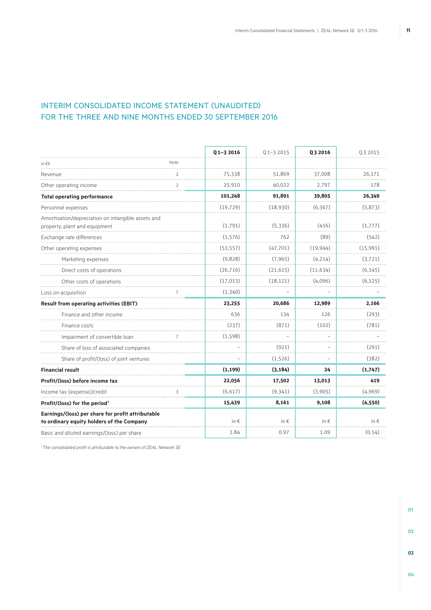### INTERIM CONSOLIDATED INCOME STATEMENT (UNAUDITED) FOR THE THREE AND NINE MONTHS ENDED 30 SEPTEMBER 2016

|                                                                                                |                | $Q$ 1-3 2016  | $Q1 - 32015$  | Q3 2016       | Q3 2015       |
|------------------------------------------------------------------------------------------------|----------------|---------------|---------------|---------------|---------------|
| in $\epsilon$ k                                                                                | Note           |               |               |               |               |
| Revenue                                                                                        | $\overline{2}$ | 75,338        | 51,869        | 37,008        | 26.171        |
| Other operating income                                                                         | $\overline{2}$ | 25,910        | 40,022        | 2,797         | 178           |
| <b>Total operating performance</b>                                                             |                | 101,248       | 91,891        | 39,805        | 26,349        |
| Personnel expenses                                                                             |                | (19, 729)     | (18,930)      | (6, 367)      | (5,873)       |
| Amortisation/depreciation on intangible assets and<br>property, plant and equipment            |                | (1,791)       | (5,336)       | (416)         | (1,777)       |
| Exchange rate differences                                                                      |                | (1, 576)      | 762           | (89)          | (542)         |
| Other operating expenses                                                                       |                | (53, 557)     | (47, 701)     | (19, 944)     | (15,991)      |
| Marketing expenses                                                                             |                | (9,828)       | (7, 965)      | (4, 214)      | (3, 721)      |
| Direct costs of operations                                                                     |                | (26, 716)     | (21, 615)     | (11,634)      | (6, 145)      |
| Other costs of operations                                                                      |                | (17, 013)     | (18, 121)     | (4,096)       | (6, 125)      |
| Loss on acquisition                                                                            |                | (1,340)       |               |               |               |
| <b>Result from operating activities (EBIT)</b>                                                 |                | 23,255        | 20,686        | 12,989        | 2,166         |
| Finance and other income                                                                       |                | 636           | 134           | 126           | (293)         |
| Finance costs                                                                                  |                | (237)         | (871)         | (102)         | (781)         |
| Impairment of convertible loan                                                                 |                | (1, 598)      |               |               |               |
| Share of loss of associated companies                                                          |                |               | (921)         |               | (291)         |
| Share of profit/(loss) of joint ventures                                                       |                |               | (1,526)       |               | (382)         |
| <b>Financial result</b>                                                                        |                | (1, 199)      | (3, 184)      | 24            | (1,747)       |
| Profit/(loss) before income tax                                                                |                | 22,056        | 17,502        | 13,013        | 419           |
| Income tax (expense)/credit                                                                    |                | (6,617)       | (9,341)       | (3,905)       | (4,969)       |
| Profit/(loss) for the period <sup>1</sup>                                                      |                | 15,439        | 8,161         | 9,108         | (4, 550)      |
| Earnings/(loss) per share for profit attributable<br>to ordinary equity holders of the Company |                | in $\epsilon$ | in $\epsilon$ | in $\epsilon$ | in $\epsilon$ |
| Basic and diluted earnings/(loss) per share                                                    |                | 1.84          | 0.97          | 1.09          | (0.54)        |

*1 The consolidated profit is attributable to the owners of ZEAL Network SE.*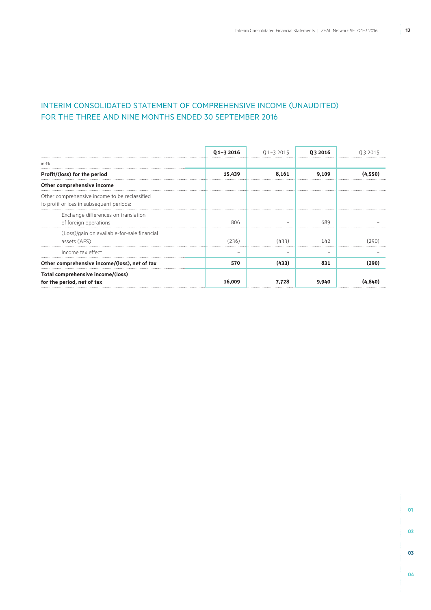### INTERIM CONSOLIDATED STATEMENT OF COMPREHENSIVE INCOME (UNAUDITED) FOR THE THREE AND NINE MONTHS ENDED 30 SEPTEMBER 2016

|                                                                                           | $Q$ 1-3 2016 | $Q1 - 32015$ | 03 2016 | 03 2015 |
|-------------------------------------------------------------------------------------------|--------------|--------------|---------|---------|
| in $\epsilon$ k                                                                           |              |              |         |         |
| Profit/(loss) for the period                                                              | 15,439       | 8,161        | 9,109   | (4.550) |
| Other comprehensive income                                                                |              |              |         |         |
| Other comprehensive income to be reclassified<br>to profit or loss in subsequent periods: |              |              |         |         |
| Exchange differences on translation<br>of foreign operations                              | 806          |              | 689     |         |
| (Loss)/gain on available-for-sale financial<br>assets (AFS)                               | (236)        | (433)        | 142     | 290     |
| Income tax effect                                                                         |              |              |         |         |
| Other comprehensive income/(loss), net of tax                                             | 570          | (433)        | 831     | (290)   |
| Total comprehensive income/(loss)<br>for the period, net of tax                           | 16,009       | 7,728        | 9,940   |         |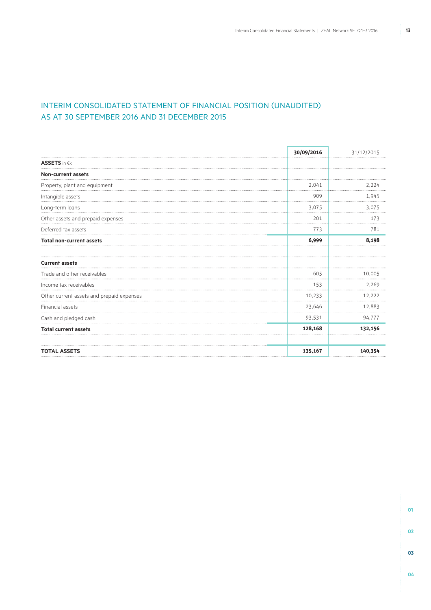### INTERIM CONSOLIDATED STATEMENT OF FINANCIAL POSITION (UNAUDITED) AS AT 30 SEPTEMBER 2016 AND 31 DECEMBER 2015

| 30/09/2016 | 31/12/2015 |
|------------|------------|
|            |            |
|            |            |
| 2,041      | 2,224      |
| 909        | 1,945      |
| 3,075      | 3,075      |
| 201        | 173        |
| 773        | 781        |
| 6,999      | 8,198      |
|            |            |
| 605        | 10.005     |
| 153        | 2,269      |
| 10,233     | 12,222     |
| 23,646     | 12,883     |
| 93,531     | 94,777     |
| 128,168    | 132,156    |
| 135,167    | 140,354    |
|            |            |

**01 02 03**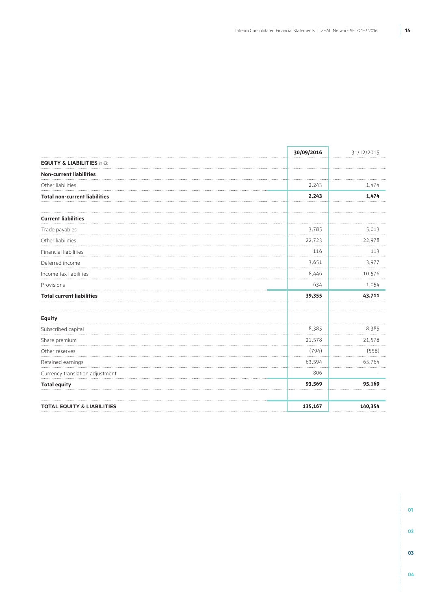|                                       | 30/09/2016 | 31/12/2015 |
|---------------------------------------|------------|------------|
| <b>EQUITY &amp; LIABILITIES in €k</b> |            |            |
| <b>Non-current liabilities</b>        |            |            |
| Other liabilities                     | 2,243      | 1,474      |
| <b>Total non-current liabilities</b>  | 2,243      | 1,474      |
|                                       |            |            |
| <b>Current liabilities</b>            |            |            |
| Trade payables                        | 3,785      | 5,013      |
| Other liabilities                     | 22,723     | 22,978     |
| Financial liabilities                 | 116        | 113        |
| Deferred income                       | 3,651      | 3,977      |
| Income tax liabilities                | 8,446      | 10,576     |
| Provisions                            | 634        | 1,054      |
| <b>Total current liabilities</b>      | 39,355     | 43,711     |
|                                       |            |            |
| <b>Equity</b>                         |            |            |
| Subscribed capital                    | 8,385      | 8,385      |
| Share premium                         | 21,578     | 21,578     |
| Other reserves                        | (794)      | (558)      |
| Retained earnings                     | 63,594     | 65,764     |
| Currency translation adjustment       | 806        |            |
| <b>Total equity</b>                   | 93,569     | 95,169     |
|                                       |            |            |
| <b>TOTAL EQUITY &amp; LIABILITIES</b> | 135,167    | 140,354    |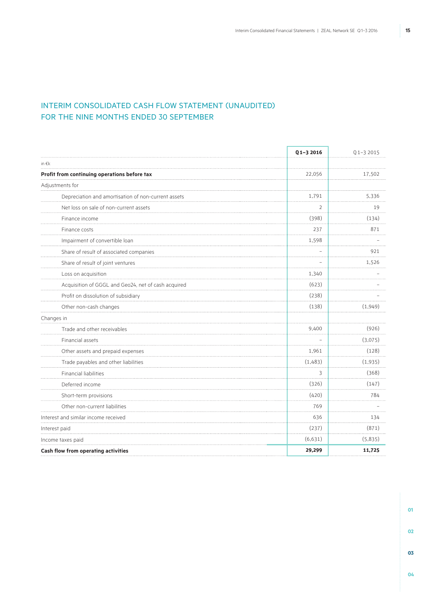### INTERIM CONSOLIDATED CASH FLOW STATEMENT (UNAUDITED) FOR THE NINE MONTHS ENDED 30 SEPTEMBER

|                                                     | Q1-3 2016 | Q1-3 2015 |
|-----------------------------------------------------|-----------|-----------|
| in $\in$ k                                          |           |           |
| Profit from continuing operations before tax        | 22,056    | 17,502    |
| Adjustments for                                     |           |           |
| Depreciation and amortisation of non-current assets | 1,791     | 5,336     |
| Net loss on sale of non-current assets              | 2         | 19        |
| Finance income                                      | (398)     | (134)     |
| Finance costs                                       | 237       | 871       |
| Impairment of convertible loan                      | 1,598     |           |
| Share of result of associated companies             |           | 921       |
| Share of result of joint ventures                   |           | 1,526     |
| Loss on acquisition                                 | 1,340     |           |
| Acquisition of GGGL and Geo24, net of cash acquired | (623)     |           |
| Profit on dissolution of subsidiary                 | (238)     |           |
| Other non-cash changes                              | (138)     | (1,949)   |
| Changes in                                          |           |           |
| Trade and other receivables                         | 9,400     | (926)     |
| Financial assets                                    |           | (3,075)   |
| Other assets and prepaid expenses                   | 1,961     | (128)     |
| Trade payables and other liabilities                | (1,483)   | (1,935)   |
| <b>Financial liabilities</b>                        | 3         | (368)     |
| Deferred income                                     | (326)     | (147)     |
| Short-term provisions                               | (420)     | 784       |
| Other non-current liabilities                       | 769       |           |
| Interest and similar income received                | 636       | 134       |
| Interest paid                                       | (237)     | (871)     |
| Income taxes paid                                   | (6,631)   | (5,835)   |
| Cash flow from operating activities                 | 29,299    | 11,725    |

**03**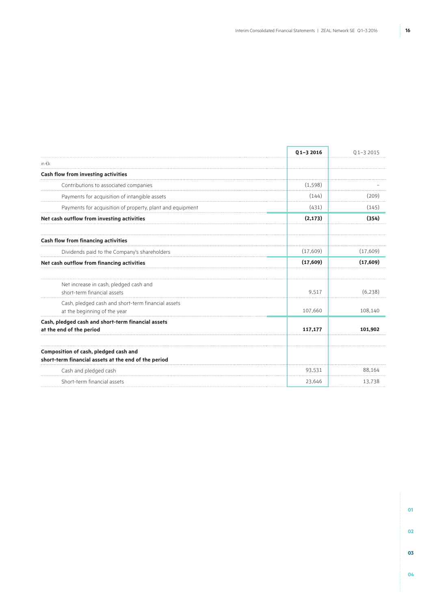F

٦

|                                                                                               | $Q$ 1-3 2016 | $Q$ 1-3 2015 |
|-----------------------------------------------------------------------------------------------|--------------|--------------|
| in $\epsilon$ k                                                                               |              |              |
| Cash flow from investing activities                                                           |              |              |
| Contributions to associated companies                                                         | (1,598)      |              |
| Payments for acquisition of intangible assets                                                 | (144)        | (209)        |
| Payments for acquisition of property, plant and equipment                                     | (431)        | (145)        |
| Net cash outflow from investing activities                                                    | (2, 173)     | (354)        |
| Cash flow from financing activities                                                           |              |              |
| Dividends paid to the Company's shareholders                                                  | (17,609)     | (17,609)     |
| Net cash outflow from financing activities                                                    | (17, 609)    | (17,609)     |
| Net increase in cash, pledged cash and<br>short-term financial assets                         | 9.517        | (6.238)      |
| Cash, pledged cash and short-term financial assets<br>at the beginning of the year            | 107,660      | 108,140      |
| Cash, pledged cash and short-term financial assets<br>at the end of the period                | 117,177      | 101.902      |
| Composition of cash, pledged cash and<br>short-term financial assets at the end of the period |              |              |
| Cash and pledged cash                                                                         | 93,531       | 88,164       |
| Short-term financial assets                                                                   | 23,646       | 13,738       |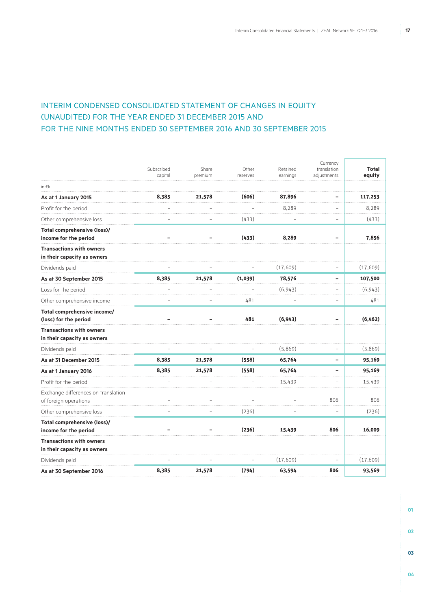### INTERIM CONDENSED CONSOLIDATED STATEMENT OF CHANGES IN EQUITY (UNAUDITED) FOR THE YEAR ENDED 31 DECEMBER 2015 AND FOR THE NINE MONTHS ENDED 30 SEPTEMBER 2016 AND 30 SEPTEMBER 2015

|                                                                | Subscribed | Share   | Other    | Retained | Currency<br>translation  | <b>Total</b> |
|----------------------------------------------------------------|------------|---------|----------|----------|--------------------------|--------------|
|                                                                | capital    | premium | reserves | earnings | adjustments              | equity       |
| in $\epsilon$ k                                                |            |         |          |          |                          |              |
| As at 1 January 2015                                           | 8,385      | 21,578  | (606)    | 87,896   |                          | 117,253      |
| Profit for the period                                          |            |         |          | 8,289    |                          | 8,289        |
| Other comprehensive loss                                       |            |         | (433)    |          |                          | (433)        |
| Total comprehensive (loss)/<br>income for the period           |            |         | (433)    | 8,289    | ۰                        | 7,856        |
| <b>Transactions with owners</b><br>in their capacity as owners |            |         |          |          |                          |              |
| Dividends paid                                                 |            |         |          | (17,609) |                          | (17,609)     |
| As at 30 September 2015                                        | 8,385      | 21,578  | (1,039)  | 78,576   | ۰                        | 107,500      |
| Loss for the period                                            |            |         |          | (6, 943) |                          | (6, 943)     |
| Other comprehensive income                                     |            |         | 481      |          | $\overline{\phantom{a}}$ | 481          |
| Total comprehensive income/<br>(loss) for the period           |            |         | 481      | (6, 943) |                          | (6,462)      |
| <b>Transactions with owners</b><br>in their capacity as owners |            |         |          |          |                          |              |
| Dividends paid                                                 |            |         |          | (5,869)  | ÷                        | (5,869)      |
| As at 31 December 2015                                         | 8,385      | 21,578  | (558)    | 65,764   | $\overline{\phantom{a}}$ | 95,169       |
| As at 1 January 2016                                           | 8,385      | 21,578  | (558)    | 65,764   |                          | 95,169       |
| Profit for the period                                          |            |         |          | 15,439   |                          | 15,439       |
| Exchange differences on translation                            |            |         |          |          |                          |              |
| of foreign operations                                          |            |         |          |          | 806                      | 806          |
| Other comprehensive loss                                       |            |         | (236)    |          | $\overline{\phantom{a}}$ | (236)        |
| Total comprehensive (loss)/<br>income for the period           |            |         | (236)    | 15,439   | 806                      | 16,009       |
| <b>Transactions with owners</b><br>in their capacity as owners |            |         |          |          |                          |              |
| Dividends paid                                                 |            |         |          | (17,609) |                          | (17,609)     |
| As at 30 September 2016                                        | 8,385      | 21,578  | (794)    | 63,594   | 806                      | 93,569       |

**04**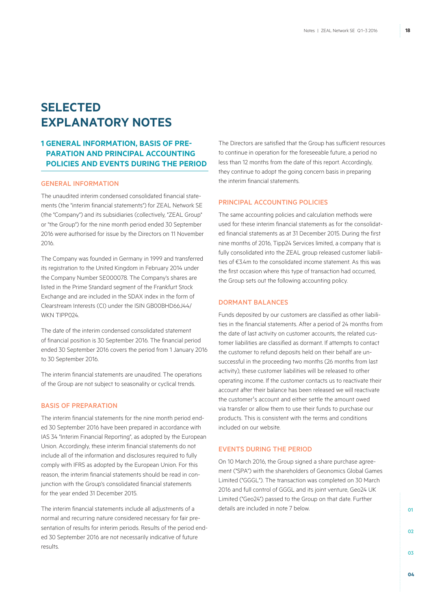# **SELECTED EXPLANATORY NOTES**

### **1 GENERAL INFORMATION, BASIS OF PRE-PARATION AND PRINCIPAL ACCOUNTING POLICIES AND EVENTS DURING THE PERIOD**

#### General information

The unaudited interim condensed consolidated financial statements (the "interim financial statements") for ZEAL Network SE (the "Company") and its subsidiaries (collectively, "ZEAL Group" or "the Group") for the nine month period ended 30 September 2016 were authorised for issue by the Directors on 11 November 2016.

The Company was founded in Germany in 1999 and transferred its registration to the United Kingdom in February 2014 under the Company Number SE000078. The Company's shares are listed in the Prime Standard segment of the Frankfurt Stock Exchange and are included in the SDAX index in the form of Clearstream Interests (CI) under the ISIN GB00BHD66J44/ WKN TIPP024

The date of the interim condensed consolidated statement of financial position is 30 September 2016. The financial period ended 30 September 2016 covers the period from 1 January 2016 to 30 September 2016.

The interim financial statements are unaudited. The operations of the Group are not subject to seasonality or cyclical trends.

### BASIS OF PREPARATION

The interim financial statements for the nine month period ended 30 September 2016 have been prepared in accordance with IAS 34 "Interim Financial Reporting", as adopted by the European Union. Accordingly, these interim financial statements do not include all of the information and disclosures required to fully comply with IFRS as adopted by the European Union. For this reason, the interim financial statements should be read in conjunction with the Group's consolidated financial statements for the year ended 31 December 2015.

The interim financial statements include all adjustments of a normal and recurring nature considered necessary for fair presentation of results for interim periods. Results of the period ended 30 September 2016 are not necessarily indicative of future results.

The Directors are satisfied that the Group has sufficient resources to continue in operation for the foreseeable future, a period no less than 12 months from the date of this report. Accordingly, they continue to adopt the going concern basis in preparing the interim financial statements.

### PRINCIPAL ACCOUNTING POLICIES

The same accounting policies and calculation methods were used for these interim financial statements as for the consolidated financial statements as at 31 December 2015. During the first nine months of 2016, Tipp24 Services limited, a company that is fully consolidated into the ZEAL group released customer liabilities of €3.4m to the consolidated income statement. As this was the first occasion where this type of transaction had occurred, the Group sets out the following accounting policy.

### DORMANT BALANCES

Funds deposited by our customers are classified as other liabilities in the financial statements. After a period of 24 months from the date of last activity on customer accounts, the related customer liabilities are classified as dormant. If attempts to contact the customer to refund deposits held on their behalf are unsuccessful in the proceeding two months (26 months from last activity), these customer liabilities will be released to other operating income. If the customer contacts us to reactivate their account after their balance has been released we will reactivate the customer's account and either settle the amount owed via transfer or allow them to use their funds to purchase our products. This is consistent with the terms and conditions included on our website.

### Events during the period

On 10 March 2016, the Group signed a share purchase agreement ("SPA") with the shareholders of Geonomics Global Games Limited ("GGGL"). The transaction was completed on 30 March 2016 and full control of GGGL and its joint venture, Geo24 UK Limited ("Geo24") passed to the Group on that date. Further details are included in note 7 below.

**03**

**01**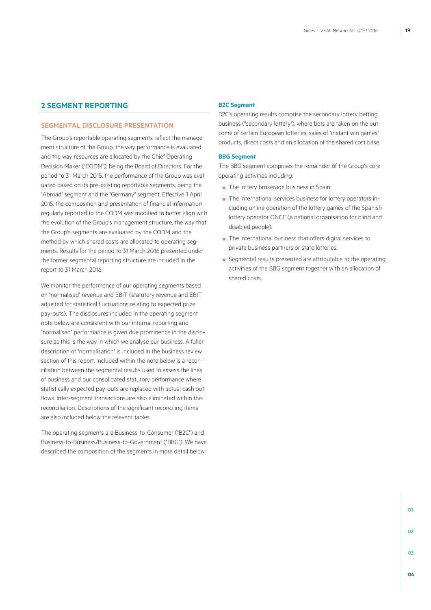### **2 SEGMENT REPORTING**

#### SEGMENTAL DISCLOSURE PRESENTATION

The Group's reportable operating segments reflect the management structure of the Group, the way performance is evaluated and the way resources are allocated by the Chief Operating Decision Maker ("CODM"), being the Board of Directors. For the period to 31 March 2015, the performance of the Group was evaluated based on its pre-existing reportable segments, being the "Abroad" segment and the "Germany" segment. Effective 1 April 2015, the composition and presentation of financial information regularly reported to the CODM was modified to better align with the evolution of the Group's management structure, the way that the Group's segments are evaluated by the CODM and the method by which shared costs are allocated to operating segments. Results for the period to 31 March 2016 presented under the former segmental reporting structure are included in the report to 31 March 2016.

We monitor the performance of our operating segments based on "normalised" revenue and EBIT (statutory revenue and EBIT adjusted for statistical fluctuations relating to expected prize pay-outs). The disclosures included in the operating segment note below are consistent with our internal reporting and "normalised" performance is given due prominence in the disclosure as this is the way in which we analyse our business. A fuller description of "normalisation" is included in the business review section of this report. Included within the note below is a reconciliation between the segmental results used to assess the lines of business and our consolidated statutory performance where statistically expected pay-outs are replaced with actual cash outflows. Inter-segment transactions are also eliminated within this reconciliation. Descriptions of the significant reconciling items are also included below the relevant tables.

The operating segments are Business-to-Consumer ("B2C") and Business-to-Business/Business-to-Government ("BBG"). We have described the composition of the segments in more detail below:

#### **B2C Segment**

B2C's operating results comprise the secondary lottery betting business ("secondary lottery"), where bets are taken on the outcome of certain European lotteries, sales of "instant win games" products, direct costs and an allocation of the shared cost base.

#### **BBG Segment**

The BBG segment comprises the remainder of the Group's core operating activities including:

- The lottery brokerage business in Spain.
- The international services business for lottery operators including online operation of the lottery games of the Spanish lottery operator ONCE (a national organisation for blind and disabled people).
- The international business that offers digital services to private business partners or state lotteries.
- Segmental results presented are attributable to the operating activities of the BBG segment together with an allocation of shared costs.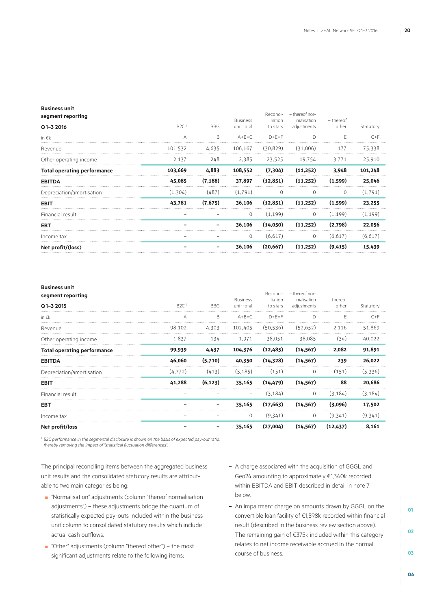#### **Business unit**

|                  |            |             | Reconci-        | - thereof nor- |              |           |
|------------------|------------|-------------|-----------------|----------------|--------------|-----------|
| B2C <sup>1</sup> | <b>BBG</b> | unit total  | to stats        | adjustments    | other        | Statutory |
| А                | B          | $A + B = C$ | $D + F = F$     | D              | F.           | $C+F$     |
| 101,532          | 4.635      | 106.167     | (30.829)        | (31.006)       | 177          | 75,338    |
| 2,137            | 248        | 2,385       | 23,525          | 19.754         | 3,771        | 25,910    |
| 103,669          | 4,883      | 108,552     | (7,304)         | (11,252)       | 3,948        | 101,248   |
| 45,085           | (7, 188)   | 37,897      | (12, 851)       | (11,252)       | (1,599)      | 25,046    |
| (1,304)          | (487)      | (1,791)     | 0               | $\Omega$       | $\mathbf{0}$ | (1,791)   |
| 43,781           | (7,675)    | 36,106      | (12, 851)       | (11,252)       | (1,599)      | 23,255    |
|                  |            | $\mathbf 0$ | (1, 199)        | $\mathbf 0$    | (1, 199)     | (1, 199)  |
|                  |            | 36,106      | (14,050)        | (11.252)       | (2.798)      | 22.056    |
|                  |            | $\mathbf 0$ | (6,617)         | $\circ$        | (6,617)      | (6,617)   |
|                  |            | 36,106      | (20, 667)       | (11.252)       | (9,415)      | 15,439    |
|                  |            |             | <b>Business</b> | liation        | malisation   | - thereof |

#### **Business unit**

| segment reporting                  |                  |            |                               | Reconci-            | - thereof nor-            |                    |           |
|------------------------------------|------------------|------------|-------------------------------|---------------------|---------------------------|--------------------|-----------|
| Q1-3 2015                          | B2C <sup>1</sup> | <b>BBG</b> | <b>Business</b><br>unit total | liation<br>to stats | malisation<br>adjustments | - thereof<br>other | Statutory |
| in $\epsilon$ k                    | A                | B          | $A + B = C$                   | $D + E = F$         | D                         |                    | $C+F$     |
| Revenue                            | 98.102           | 4,303      | 102.405                       | (50.536)            | (52.652)                  | 2.116              | 51.869    |
| Other operating income             | 1,837            | 134        | 1,971                         | 38,051              | 38,085                    | (34)               | 40,022    |
| <b>Total operating performance</b> | 99,939           | 4,437      | 104,376                       | (12, 485)           | (14, 567)                 | 2,082              | 91,891    |
| <b>EBITDA</b>                      | 46,060           | (5,710)    | 40,350                        | (14, 328)           | (14, 567)                 | 239                | 26,022    |
| Depreciation/amortisation          | (4.772)          | (413)      | (5.185)                       | (151)               | 0                         | (151)              | (5,336)   |
| <b>EBIT</b>                        | 41,288           | (6, 123)   | 35,165                        | (14, 479)           | (14, 567)                 | 88                 | 20,686    |
| Financial result                   |                  |            | $\qquad \qquad -$             | (3, 184)            | 0                         | (3, 184)           | (3, 184)  |
| <b>EBT</b>                         |                  |            | 35,165                        | (17, 663)           | (14, 567)                 | (3,096)            | 17,502    |
| Income tax                         |                  |            | $\mathbf 0$                   | (9,341)             | $\circ$                   | (9,341)            | (9,341)   |
| Net profit/loss                    |                  |            | 35,165                        | (27,004)            | (14, 567)                 | (12, 437)          | 8,161     |

<sup>1</sup> B2C performance in the segmental disclosure is shown on the basis of expected pay-out ratio, *thereby removing the impact of "statistical fluctuation differences".*

The principal reconciling items between the aggregated business unit results and the consolidated statutory results are attributable to two main categories being:

- "Normalisation" adjustments (column "thereof normalisation adjustments") – these adjustments bridge the quantum of statistically expected pay-outs included within the business unit column to consolidated statutory results which include actual cash outflows.
- "Other" adjustments (column "thereof other") the most significant adjustments relate to the following items:
- A charge associated with the acquisition of GGGL and Geo24 amounting to approximately €1,340k recorded within EBITDA and EBIT described in detail in note 7 below.
- An impairment charge on amounts drawn by GGGL on the convertible loan facility of €1,598k recorded within financial result (described in the business review section above). The remaining gain of €375k included within this category relates to net income receivable accrued in the normal course of business.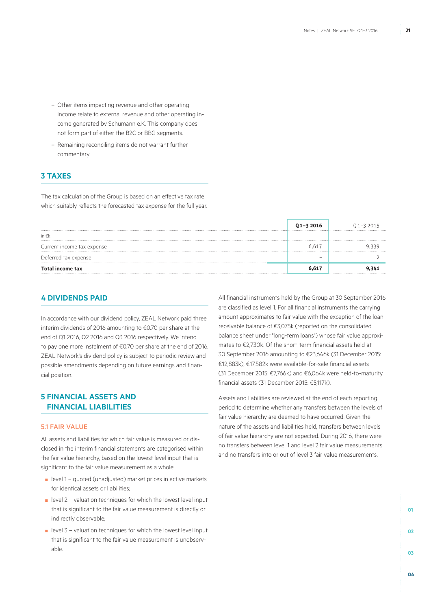- Other items impacting revenue and other operating income relate to external revenue and other operating income generated by Schumann e.K. This company does not form part of either the B2C or BBG segments.
- Remaining reconciling items do not warrant further commentary.

### **3 Taxes**

The tax calculation of the Group is based on an effective tax rate which suitably reflects the forecasted tax expense for the full year.

|                            | Q1-3 2016 | $01 - 32015$ |
|----------------------------|-----------|--------------|
| in $\epsilon$ k            |           |              |
| Current income tax expense | .617      |              |
| Deferred tax expense       |           |              |
| <b>Total income tax</b>    |           |              |

### **4 Dividends paid**

In accordance with our dividend policy, ZEAL Network paid three interim dividends of 2016 amounting to €0.70 per share at the end of Q1 2016, Q2 2016 and Q3 2016 respectively. We intend to pay one more instalment of €0.70 per share at the end of 2016. ZEAL Network's dividend policy is subject to periodic review and possible amendments depending on future earnings and financial position.

### **5 Financial assets and financial liabilities**

#### 5.1 FAIR VALUE

All assets and liabilities for which fair value is measured or disclosed in the interim financial statements are categorised within the fair value hierarchy, based on the lowest level input that is significant to the fair value measurement as a whole:

- level 1 quoted (unadjusted) market prices in active markets for identical assets or liabilities;
- $\blacksquare$  level 2 valuation techniques for which the lowest level input that is significant to the fair value measurement is directly or indirectly observable;
- $\blacksquare$  level 3 valuation techniques for which the lowest level input that is significant to the fair value measurement is unobservable.

All financial instruments held by the Group at 30 September 2016 are classified as level 1. For all financial instruments the carrying amount approximates to fair value with the exception of the loan receivable balance of €3,075k (reported on the consolidated balance sheet under "long-term loans") whose fair value approximates to €2,730k. Of the short-term financial assets held at 30 September 2016 amounting to €23,646k (31 December 2015: €12,883k), €17,582k were available-for-sale financial assets (31 December 2015: €7,766k) and €6,064k were held-to-maturity financial assets (31 December 2015: €5,117k).

Assets and liabilities are reviewed at the end of each reporting period to determine whether any transfers between the levels of fair value hierarchy are deemed to have occurred. Given the nature of the assets and liabilities held, transfers between levels of fair value hierarchy are not expected. During 2016, there were no transfers between level 1 and level 2 fair value measurements and no transfers into or out of level 3 fair value measurements.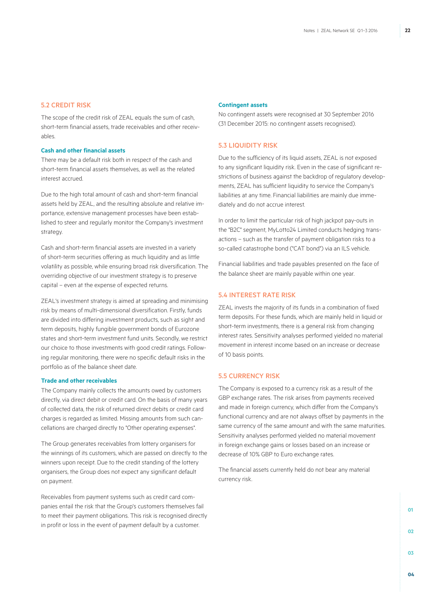#### 5.2 CREDIT RISK

The scope of the credit risk of ZEAL equals the sum of cash, short-term financial assets, trade receivables and other receivables.

#### **Cash and other financial assets**

There may be a default risk both in respect of the cash and short-term financial assets themselves, as well as the related interest accrued.

Due to the high total amount of cash and short-term financial assets held by ZEAL, and the resulting absolute and relative importance, extensive management processes have been established to steer and regularly monitor the Company's investment strategy.

Cash and short-term financial assets are invested in a variety of short-term securities offering as much liquidity and as little volatility as possible, while ensuring broad risk diversification. The overriding objective of our investment strategy is to preserve capital – even at the expense of expected returns.

ZEAL's investment strategy is aimed at spreading and minimising risk by means of multi-dimensional diversification. Firstly, funds are divided into differing investment products, such as sight and term deposits, highly fungible government bonds of Eurozone states and short-term investment fund units. Secondly, we restrict our choice to those investments with good credit ratings. Following regular monitoring, there were no specific default risks in the portfolio as of the balance sheet date.

#### **Trade and other receivables**

The Company mainly collects the amounts owed by customers directly, via direct debit or credit card. On the basis of many years of collected data, the risk of returned direct debits or credit card charges is regarded as limited. Missing amounts from such cancellations are charged directly to "Other operating expenses".

The Group generates receivables from lottery organisers for the winnings of its customers, which are passed on directly to the winners upon receipt. Due to the credit standing of the lottery organisers, the Group does not expect any significant default on payment.

Receivables from payment systems such as credit card companies entail the risk that the Group's customers themselves fail to meet their payment obligations. This risk is recognised directly in profit or loss in the event of payment default by a customer.

#### **Contingent assets**

No contingent assets were recognised at 30 September 2016 (31 December 2015: no contingent assets recognised).

#### 5.3 LIQUIDITY RISK

Due to the sufficiency of its liquid assets, ZEAL is not exposed to any significant liquidity risk. Even in the case of significant restrictions of business against the backdrop of regulatory developments, ZEAL has sufficient liquidity to service the Company's liabilities at any time. Financial liabilities are mainly due immediately and do not accrue interest.

In order to limit the particular risk of high jackpot pay-outs in the "B2C" segment, MyLotto24 Limited conducts hedging transactions – such as the transfer of payment obligation risks to a so-called catastrophe bond ("CAT bond") via an ILS vehicle.

Financial liabilities and trade payables presented on the face of the balance sheet are mainly payable within one year.

#### 5.4 INTEREST RATE RISK

ZEAL invests the majority of its funds in a combination of fixed term deposits. For these funds, which are mainly held in liquid or short-term investments, there is a general risk from changing interest rates. Sensitivity analyses performed yielded no material movement in interest income based on an increase or decrease of 10 basis points.

### 5.5 CURRENCY RISK

The Company is exposed to a currency risk as a result of the GBP exchange rates. The risk arises from payments received and made in foreign currency, which differ from the Company's functional currency and are not always offset by payments in the same currency of the same amount and with the same maturities. Sensitivity analyses performed yielded no material movement in foreign exchange gains or losses based on an increase or decrease of 10% GBP to Euro exchange rates.

The financial assets currently held do not bear any material currency risk.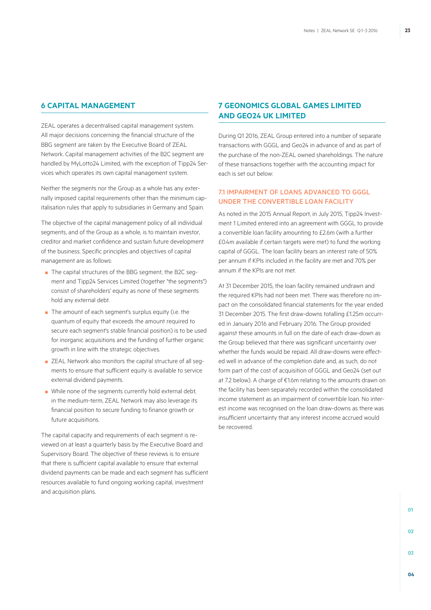### **6 CAPITAL MANAGEMENT**

ZEAL operates a decentralised capital management system. All major decisions concerning the financial structure of the BBG segment are taken by the Executive Board of ZEAL Network. Capital management activities of the B2C segment are handled by MyLotto24 Limited, with the exception of Tipp24 Services which operates its own capital management system.

Neither the segments nor the Group as a whole has any externally imposed capital requirements other than the minimum capitalisation rules that apply to subsidiaries in Germany and Spain.

The objective of the capital management policy of all individual segments, and of the Group as a whole, is to maintain investor, creditor and market confidence and sustain future development of the business. Specific principles and objectives of capital management are as follows:

- The capital structures of the BBG segment, the B2C segment and Tipp24 Services Limited (together "the segments") consist of shareholders' equity as none of these segments hold any external debt.
- The amount of each segment's surplus equity (i.e. the quantum of equity that exceeds the amount required to secure each segment's stable financial position) is to be used for inorganic acquisitions and the funding of further organic growth in line with the strategic objectives.
- ZEAL Network also monitors the capital structure of all segments to ensure that sufficient equity is available to service external dividend payments.
- While none of the segments currently hold external debt, in the medium-term, ZEAL Network may also leverage its financial position to secure funding to finance growth or future acquisitions.

The capital capacity and requirements of each segment is reviewed on at least a quarterly basis by the Executive Board and Supervisory Board. The objective of these reviews is to ensure that there is sufficient capital available to ensure that external dividend payments can be made and each segment has sufficient resources available to fund ongoing working capital, investment and acquisition plans.

### **7 GEONOMICS GLOBAL GAMES LIMITED AND GEO24 UK LIMITED**

During Q1 2016, ZEAL Group entered into a number of separate transactions with GGGL and Geo24 in advance of and as part of the purchase of the non-ZEAL owned shareholdings. The nature of these transactions together with the accounting impact for each is set out below:

### 7.1 IMPAIRMENT OF LOANS ADVANCED TO GGGL UNDER THE CONVERTIBLE LOAN FACILITY

As noted in the 2015 Annual Report, in July 2015, Tipp24 Investment 1 Limited entered into an agreement with GGGL to provide a convertible loan facility amounting to £2.6m (with a further £0.4m available if certain targets were met) to fund the working capital of GGGL. The loan facility bears an interest rate of 50% per annum if KPIs included in the facility are met and 70% per annum if the KPIs are not met.

At 31 December 2015, the loan facility remained undrawn and the required KPIs had not been met. There was therefore no impact on the consolidated financial statements for the year ended 31 December 2015. The first draw-downs totalling £1.25m occurred in January 2016 and February 2016. The Group provided against these amounts in full on the date of each draw-down as the Group believed that there was significant uncertainty over whether the funds would be repaid. All draw-downs were effected well in advance of the completion date and, as such, do not form part of the cost of acquisition of GGGL and Geo24 (set out at 7.2 below). A charge of €1.6m relating to the amounts drawn on the facility has been separately recorded within the consolidated income statement as an impairment of convertible loan. No interest income was recognised on the loan draw-downs as there was insufficient uncertainty that any interest income accrued would be recovered.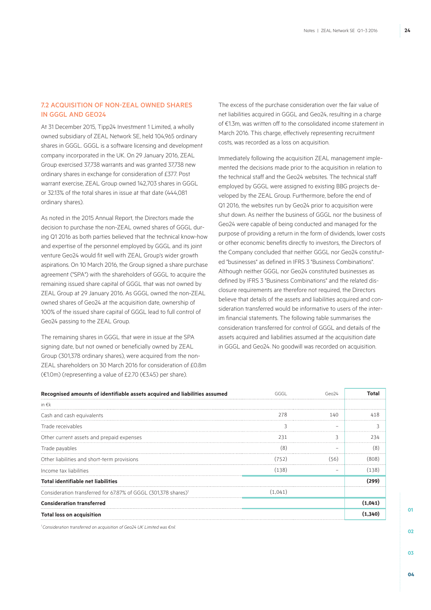### 7.2 ACQUISITION OF NON-ZEAL OWNED SHARES IN GGGL AND GEO24

At 31 December 2015, Tipp24 Investment 1 Limited, a wholly owned subsidiary of ZEAL Network SE, held 104,965 ordinary shares in GGGL. GGGL is a software licensing and development company incorporated in the UK. On 29 January 2016, ZEAL Group exercised 37,738 warrants and was granted 37,738 new ordinary shares in exchange for consideration of £377. Post warrant exercise, ZEAL Group owned 142,703 shares in GGGL or 32.13% of the total shares in issue at that date (444,081 ordinary shares).

As noted in the 2015 Annual Report, the Directors made the decision to purchase the non-ZEAL owned shares of GGGL during Q1 2016 as both parties believed that the technical know-how and expertise of the personnel employed by GGGL and its joint venture Geo24 would fit well with ZEAL Group's wider growth aspirations. On 10 March 2016, the Group signed a share purchase agreement ("SPA") with the shareholders of GGGL to acquire the remaining issued share capital of GGGL that was not owned by ZEAL Group at 29 January 2016. As GGGL owned the non-ZEAL owned shares of Geo24 at the acquisition date, ownership of 100% of the issued share capital of GGGL lead to full control of Geo24 passing to the ZEAL Group.

The remaining shares in GGGL that were in issue at the SPA signing date, but not owned or beneficially owned by ZEAL Group (301,378 ordinary shares), were acquired from the non-ZEAL shareholders on 30 March 2016 for consideration of £0.8m (€1.0m) (representing a value of £2.70 (€3.45) per share).

The excess of the purchase consideration over the fair value of net liabilities acquired in GGGL and Geo24, resulting in a charge of €1.3m, was written off to the consolidated income statement in March 2016. This charge, effectively representing recruitment costs, was recorded as a loss on acquisition.

Immediately following the acquisition ZEAL management implemented the decisions made prior to the acquisition in relation to the technical staff and the Geo24 websites. The technical staff employed by GGGL were assigned to existing BBG projects developed by the ZEAL Group. Furthermore, before the end of Q1 2016, the websites run by Geo24 prior to acquisition were shut down. As neither the business of GGGL nor the business of Geo24 were capable of being conducted and managed for the purpose of providing a return in the form of dividends, lower costs or other economic benefits directly to investors, the Directors of the Company concluded that neither GGGL nor Geo24 constituted "businesses" as defined in IFRS 3 "Business Combinations". Although neither GGGL nor Geo24 constituted businesses as defined by IFRS 3 "Business Combinations" and the related disclosure requirements are therefore not required, the Directors believe that details of the assets and liabilities acquired and consideration transferred would be informative to users of the interim financial statements. The following table summarises the consideration transferred for control of GGGL and details of the assets acquired and liabilities assumed at the acquisition date in GGGL and Geo24. No goodwill was recorded on acquisition.

| Recognised amounts of identifiable assets acquired and liabilities assumed |         |     |       |
|----------------------------------------------------------------------------|---------|-----|-------|
| in $\epsilon$ k                                                            |         |     |       |
| Cash and cash equivalents                                                  | 278     | 140 |       |
| Trade receivables                                                          |         |     |       |
| Other current assets and prepaid expenses                                  | 231     |     |       |
| Trade payables                                                             | ΄8      |     |       |
| Other liabilities and short-term provisions                                | (752)   | 56) |       |
| Income tax liabilities                                                     | (138)   |     | (138) |
| <b>Total identifiable net liabilities</b>                                  |         |     |       |
| Consideration transferred for 67.87% of GGGL (301,378 shares) <sup>1</sup> | (1.041) |     |       |
| <b>Consideration transferred</b>                                           |         |     |       |
| <b>Total loss on acquisition</b>                                           |         |     |       |

*1 Consideration transferred on acquisition of Geo24 UK Limited was €nil.*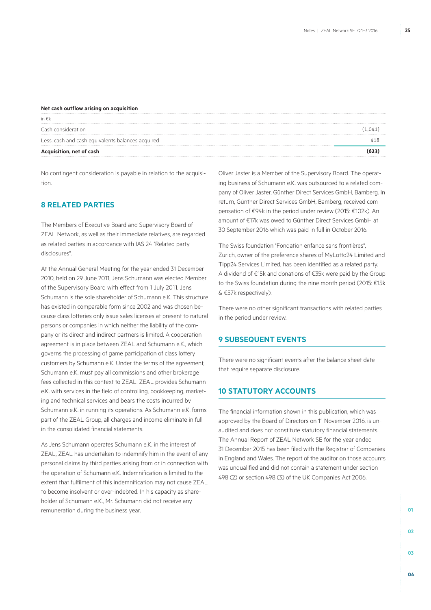#### **Net cash outflow arising on acquisition**

| in $\epsilon$ k                                   |        |
|---------------------------------------------------|--------|
| Cash consideration                                | (1.041 |
| Less: cash and cash equivalents balances acquired |        |
| Acquisition, net of cash                          |        |

No contingent consideration is payable in relation to the acquisition.

### **8 RELATED PARTIES**

The Members of Executive Board and Supervisory Board of ZEAL Network, as well as their immediate relatives, are regarded as related parties in accordance with IAS 24 "Related party disclosures".

At the Annual General Meeting for the year ended 31 December 2010, held on 29 June 2011, Jens Schumann was elected Member of the Supervisory Board with effect from 1 July 2011. Jens Schumann is the sole shareholder of Schumann e.K. This structure has existed in comparable form since 2002 and was chosen because class lotteries only issue sales licenses at present to natural persons or companies in which neither the liability of the company or its direct and indirect partners is limited. A cooperation agreement is in place between ZEAL and Schumann e.K., which governs the processing of game participation of class lottery customers by Schumann e.K. Under the terms of the agreement, Schumann e.K. must pay all commissions and other brokerage fees collected in this context to ZEAL. ZEAL provides Schumann e.K. with services in the field of controlling, bookkeeping, marketing and technical services and bears the costs incurred by Schumann e.K. in running its operations. As Schumann e.K. forms part of the ZEAL Group, all charges and income eliminate in full in the consolidated financial statements.

As Jens Schumann operates Schumann e.K. in the interest of ZEAL, ZEAL has undertaken to indemnify him in the event of any personal claims by third parties arising from or in connection with the operation of Schumann e.K. Indemnification is limited to the extent that fulfilment of this indemnification may not cause ZEAL to become insolvent or over-indebted. In his capacity as shareholder of Schumann e.K., Mr. Schumann did not receive any remuneration during the business year.

Oliver Jaster is a Member of the Supervisory Board. The operating business of Schumann e.K. was outsourced to a related company of Oliver Jaster, Günther Direct Services GmbH, Bamberg. In return, Günther Direct Services GmbH, Bamberg, received compensation of €94k in the period under review (2015: €102k). An amount of €17k was owed to Günther Direct Services GmbH at 30 September 2016 which was paid in full in October 2016.

The Swiss foundation "Fondation enfance sans frontières", Zurich, owner of the preference shares of MyLotto24 Limited and Tipp24 Services Limited, has been identified as a related party. A dividend of €15k and donations of €35k were paid by the Group to the Swiss foundation during the nine month period (2015: €15k & €57k respectively).

There were no other significant transactions with related parties in the period under review.

### **9 Subsequent events**

There were no significant events after the balance sheet date that require separate disclosure.

### **10 STATUTORY ACCOUNTS**

The financial information shown in this publication, which was approved by the Board of Directors on 11 November 2016, is unaudited and does not constitute statutory financial statements. The Annual Report of ZEAL Network SE for the year ended 31 December 2015 has been filed with the Registrar of Companies in England and Wales. The report of the auditor on those accounts was unqualified and did not contain a statement under section 498 (2) or section 498 (3) of the UK Companies Act 2006.